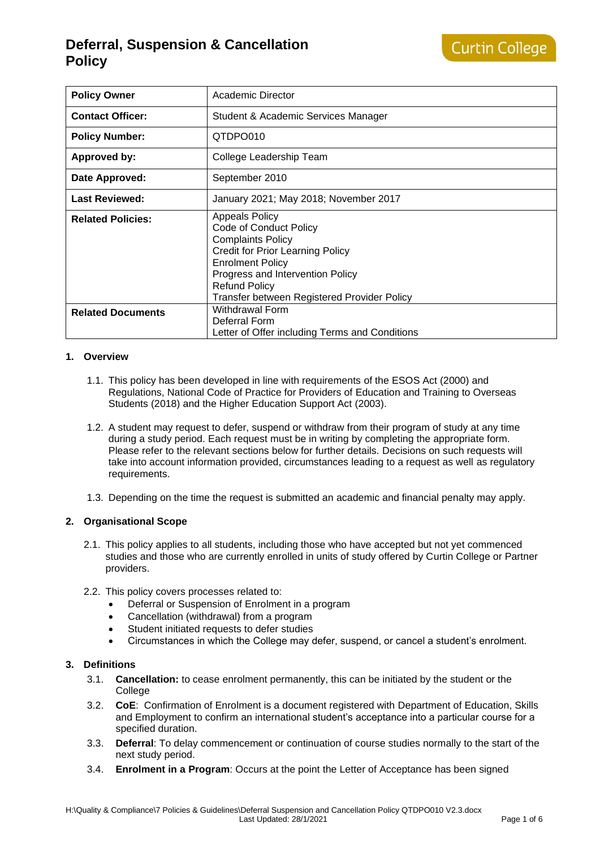| <b>Policy Owner</b>      | Academic Director                                                                                                                                                                                                                                            |
|--------------------------|--------------------------------------------------------------------------------------------------------------------------------------------------------------------------------------------------------------------------------------------------------------|
| <b>Contact Officer:</b>  | Student & Academic Services Manager                                                                                                                                                                                                                          |
| <b>Policy Number:</b>    | QTDPO010                                                                                                                                                                                                                                                     |
| <b>Approved by:</b>      | College Leadership Team                                                                                                                                                                                                                                      |
| Date Approved:           | September 2010                                                                                                                                                                                                                                               |
| <b>Last Reviewed:</b>    | January 2021; May 2018; November 2017                                                                                                                                                                                                                        |
| <b>Related Policies:</b> | <b>Appeals Policy</b><br>Code of Conduct Policy<br><b>Complaints Policy</b><br><b>Credit for Prior Learning Policy</b><br><b>Enrolment Policy</b><br>Progress and Intervention Policy<br><b>Refund Policy</b><br>Transfer between Registered Provider Policy |
| <b>Related Documents</b> | Withdrawal Form<br>Deferral Form<br>Letter of Offer including Terms and Conditions                                                                                                                                                                           |

## **1. Overview**

- 1.1. This policy has been developed in line with requirements of the ESOS Act (2000) and Regulations, National Code of Practice for Providers of Education and Training to Overseas Students (2018) and the Higher Education Support Act (2003).
- 1.2. A student may request to defer, suspend or withdraw from their program of study at any time during a study period. Each request must be in writing by completing the appropriate form. Please refer to the relevant sections below for further details. Decisions on such requests will take into account information provided, circumstances leading to a request as well as regulatory requirements.
- 1.3. Depending on the time the request is submitted an academic and financial penalty may apply.

## **2. Organisational Scope**

- 2.1. This policy applies to all students, including those who have accepted but not yet commenced studies and those who are currently enrolled in units of study offered by Curtin College or Partner providers.
- 2.2. This policy covers processes related to:
	- Deferral or Suspension of Enrolment in a program
	- Cancellation (withdrawal) from a program
	- Student initiated requests to defer studies
	- Circumstances in which the College may defer, suspend, or cancel a student's enrolment.

## **3. Definitions**

- 3.1. **Cancellation:** to cease enrolment permanently, this can be initiated by the student or the **College**
- 3.2. **CoE**: Confirmation of Enrolment is a document registered with Department of Education, Skills and Employment to confirm an international student's acceptance into a particular course for a specified duration.
- 3.3. **Deferral**: To delay commencement or continuation of course studies normally to the start of the next study period.
- 3.4. **Enrolment in a Program**: Occurs at the point the Letter of Acceptance has been signed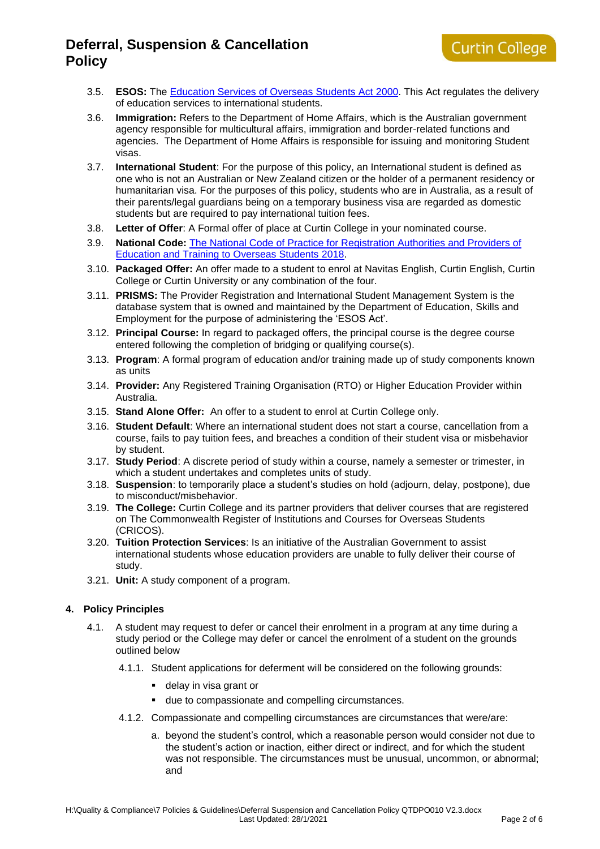- 3.5. **ESOS:** The [Education Services of Overseas Students Act](https://internationaleducation.gov.au/regulatory-information/Education-Services-for-Overseas-Studentshttps:/internationaleducation.gov.au/regulatory-information/Education-Services-for-Overseas-Students-ESOS-Legislative-Framework/ESOS-Act/Pages/default.aspx-ESOS-Legislative-Framework/ESOS-Act/Pages/default.aspx) 2000. This Act regulates the delivery of education services to international students.
- 3.6. **Immigration:** Refers to the Department of Home Affairs, which is the Australian government agency responsible for multicultural affairs, immigration and border-related functions and agencies. The Department of Home Affairs is responsible for issuing and monitoring Student visas.
- 3.7. **International Student**: For the purpose of this policy, an International student is defined as one who is not an Australian or New Zealand citizen or the holder of a permanent residency or humanitarian visa. For the purposes of this policy, students who are in Australia, as a result of their parents/legal guardians being on a temporary business visa are regarded as domestic students but are required to pay international tuition fees.
- 3.8. **Letter of Offer**: A Formal offer of place at Curtin College in your nominated course.
- 3.9. **National Code:** [The National Code of Practice for Registration Authorities and Providers of](https://internationaleducation.gov.au/Regulatory-Information/Pages/National-Code-2018-Factsheets-.aspx)  [Education and Training to Overseas Students 2018.](https://internationaleducation.gov.au/Regulatory-Information/Pages/National-Code-2018-Factsheets-.aspx)
- 3.10. **Packaged Offer:** An offer made to a student to enrol at Navitas English, Curtin English, Curtin College or Curtin University or any combination of the four.
- 3.11. **PRISMS:** The Provider Registration and International Student Management System is the database system that is owned and maintained by the Department of Education, Skills and Employment for the purpose of administering the 'ESOS Act'.
- 3.12. **Principal Course:** In regard to packaged offers, the principal course is the degree course entered following the completion of bridging or qualifying course(s).
- 3.13. **Program**: A formal program of education and/or training made up of study components known as units
- 3.14. **Provider:** Any Registered Training Organisation (RTO) or Higher Education Provider within Australia.
- 3.15. **Stand Alone Offer:** An offer to a student to enrol at Curtin College only.
- 3.16. **Student Default**: Where an international student does not start a course, cancellation from a course, fails to pay tuition fees, and breaches a condition of their student visa or misbehavior by student.
- 3.17. **Study Period**: A discrete period of study within a course, namely a semester or trimester, in which a student undertakes and completes units of study.
- 3.18. **Suspension**: to temporarily place a student's studies on hold (adjourn, delay, postpone), due to misconduct/misbehavior.
- 3.19. **The College:** Curtin College and its partner providers that deliver courses that are registered on The Commonwealth Register of Institutions and Courses for Overseas Students (CRICOS).
- 3.20. **Tuition Protection Services**: Is an initiative of the Australian Government to assist international students whose education providers are unable to fully deliver their course of study.
- 3.21. **Unit:** A study component of a program.

## **4. Policy Principles**

- 4.1. A student may request to defer or cancel their enrolment in a program at any time during a study period or the College may defer or cancel the enrolment of a student on the grounds outlined below
	- 4.1.1. Student applications for deferment will be considered on the following grounds:
		- delay in visa grant or
		- due to compassionate and compelling circumstances.
	- 4.1.2. Compassionate and compelling circumstances are circumstances that were/are:
		- a. beyond the student's control, which a reasonable person would consider not due to the student's action or inaction, either direct or indirect, and for which the student was not responsible. The circumstances must be unusual, uncommon, or abnormal; and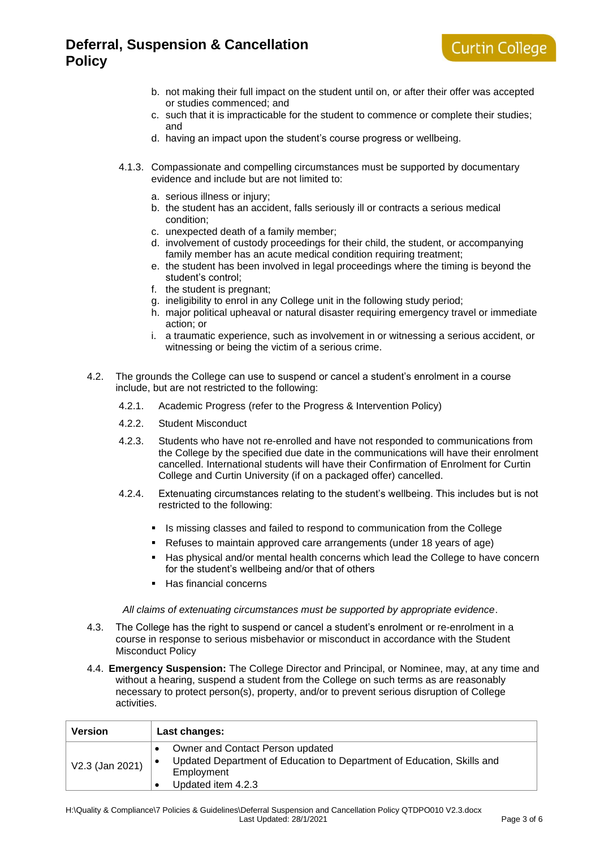- b. not making their full impact on the student until on, or after their offer was accepted or studies commenced; and
- c. such that it is impracticable for the student to commence or complete their studies; and
- d. having an impact upon the student's course progress or wellbeing.
- 4.1.3. Compassionate and compelling circumstances must be supported by documentary evidence and include but are not limited to:
	- a. serious illness or injury;
	- b. the student has an accident, falls seriously ill or contracts a serious medical condition;
	- c. unexpected death of a family member;
	- d. involvement of custody proceedings for their child, the student, or accompanying family member has an acute medical condition requiring treatment;
	- e. the student has been involved in legal proceedings where the timing is beyond the student's control;
	- f. the student is pregnant;
	- g. ineligibility to enrol in any College unit in the following study period;
	- h. major political upheaval or natural disaster requiring emergency travel or immediate action; or
	- i. a traumatic experience, such as involvement in or witnessing a serious accident, or witnessing or being the victim of a serious crime.
- 4.2. The grounds the College can use to suspend or cancel a student's enrolment in a course include, but are not restricted to the following:
	- 4.2.1. Academic Progress (refer to the [Progress & Intervention Policy\)](https://www.curtincollege.edu.au/about-curtin-college/policies-procedures/)
	- 4.2.2. Student Misconduct
	- 4.2.3. Students who have not re-enrolled and have not responded to communications from the College by the specified due date in the communications will have their enrolment cancelled. International students will have their Confirmation of Enrolment for Curtin College and Curtin University (if on a packaged offer) cancelled.
	- 4.2.4. Extenuating circumstances relating to the student's wellbeing. This includes but is not restricted to the following:
		- **EXEDER** Is missing classes and failed to respond to communication from the College
		- Refuses to maintain approved care arrangements (under 18 years of age)
		- Has physical and/or mental health concerns which lead the College to have concern for the student's wellbeing and/or that of others
		- Has financial concerns

*All claims of extenuating circumstances must be supported by appropriate evidence*.

- 4.3. The College has the right to suspend or cancel a student's enrolment or re-enrolment in a course in response to serious misbehavior or misconduct in accordance with the Student Misconduct Policy
- 4.4. **Emergency Suspension:** The College Director and Principal, or Nominee, may, at any time and without a hearing, suspend a student from the College on such terms as are reasonably necessary to protect person(s), property, and/or to prevent serious disruption of College activities.

| <b>Version</b>  | Last changes:                                                                                                                                  |
|-----------------|------------------------------------------------------------------------------------------------------------------------------------------------|
| V2.3 (Jan 2021) | Owner and Contact Person updated<br>Updated Department of Education to Department of Education, Skills and<br>Employment<br>Updated item 4.2.3 |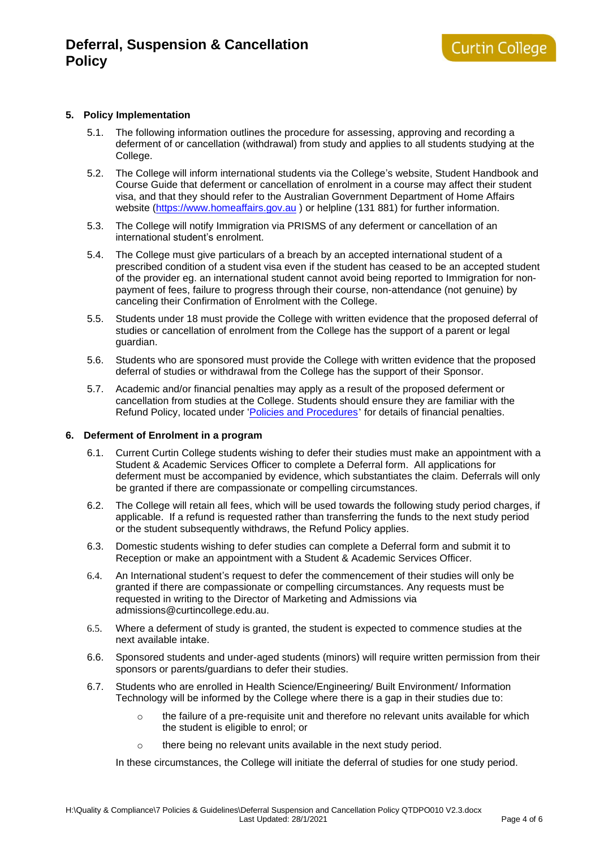### **5. Policy Implementation**

- 5.1. The following information outlines the procedure for assessing, approving and recording a deferment of or cancellation (withdrawal) from study and applies to all students studying at the College.
- 5.2. The College will inform international students via the College's website, Student Handbook and Course Guide that deferment or cancellation of enrolment in a course may affect their student visa, and that they should refer to the Australian Government Department of Home Affairs website [\(https://www.homeaffairs.gov.au](https://www.homeaffairs.gov.au/) ) or helpline (131 881) for further information.
- 5.3. The College will notify Immigration via PRISMS of any deferment or cancellation of an international student's enrolment.
- 5.4. The College must give particulars of a breach by an accepted international student of a prescribed condition of a student visa even if the student has ceased to be an accepted student of the provider eg. an international student cannot avoid being reported to Immigration for nonpayment of fees, failure to progress through their course, non-attendance (not genuine) by canceling their Confirmation of Enrolment with the College.
- 5.5. Students under 18 must provide the College with written evidence that the proposed deferral of studies or cancellation of enrolment from the College has the support of a parent or legal guardian.
- 5.6. Students who are sponsored must provide the College with written evidence that the proposed deferral of studies or withdrawal from the College has the support of their Sponsor.
- 5.7. Academic and/or financial penalties may apply as a result of the proposed deferment or cancellation from studies at the College. Students should ensure they are familiar with the Refund Policy, located under ['Policies and Procedures](https://www.curtincollege.edu.au/about-curtin-college/policies-procedures/)' for details of financial penalties.

#### **6. Deferment of Enrolment in a program**

- 6.1. Current Curtin College students wishing to defer their studies must make an appointment with a Student & Academic Services Officer to complete a Deferral form. All applications for deferment must be accompanied by evidence, which substantiates the claim. Deferrals will only be granted if there are compassionate or compelling circumstances.
- 6.2. The College will retain all fees, which will be used towards the following study period charges, if applicable. If a refund is requested rather than transferring the funds to the next study period or the student subsequently withdraws, the Refund Policy applies.
- 6.3. Domestic students wishing to defer studies can complete a Deferral form and submit it to Reception or make an appointment with a Student & Academic Services Officer.
- 6.4. An International student's request to defer the commencement of their studies will only be granted if there are compassionate or compelling circumstances. Any requests must be requested in writing to the Director of Marketing and Admissions via admissions@curtincollege.edu.au.
- 6.5. Where a deferment of study is granted, the student is expected to commence studies at the next available intake.
- 6.6. Sponsored students and under-aged students (minors) will require written permission from their sponsors or parents/guardians to defer their studies.
- 6.7. Students who are enrolled in Health Science/Engineering/ Built Environment/ Information Technology will be informed by the College where there is a gap in their studies due to:
	- $\circ$  the failure of a pre-requisite unit and therefore no relevant units available for which the student is eligible to enrol; or
	- o there being no relevant units available in the next study period.

In these circumstances, the College will initiate the deferral of studies for one study period.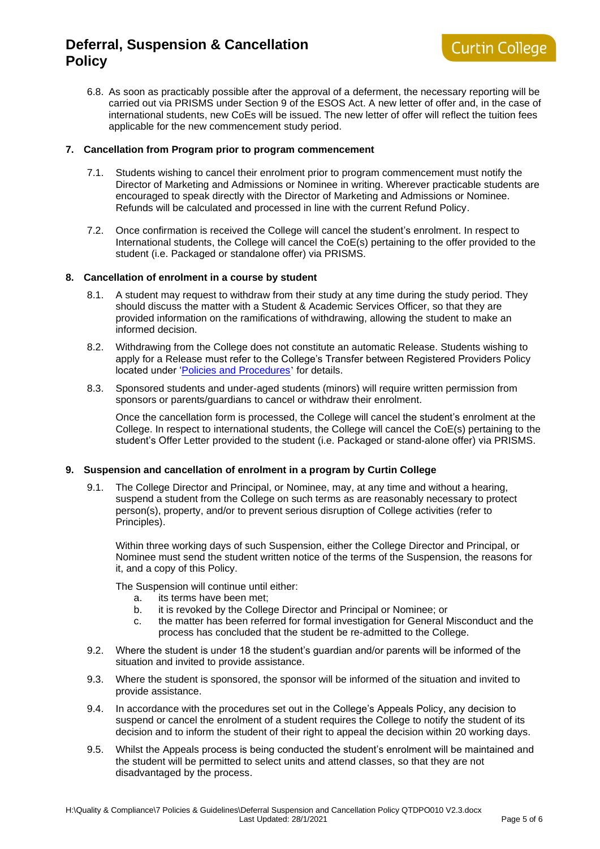6.8. As soon as practicably possible after the approval of a deferment, the necessary reporting will be carried out via PRISMS under Section 9 of the ESOS Act. A new letter of offer and, in the case of international students, new CoEs will be issued. The new letter of offer will reflect the tuition fees applicable for the new commencement study period.

### **7. Cancellation from Program prior to program commencement**

- 7.1. Students wishing to cancel their enrolment prior to program commencement must notify the Director of Marketing and Admissions or Nominee in writing. Wherever practicable students are encouraged to speak directly with the Director of Marketing and Admissions or Nominee. Refunds will be calculated and processed in line with the current Refund Policy.
- 7.2. Once confirmation is received the College will cancel the student's enrolment. In respect to International students, the College will cancel the CoE(s) pertaining to the offer provided to the student (i.e. Packaged or standalone offer) via PRISMS.

#### **8. Cancellation of enrolment in a course by student**

- 8.1. A student may request to withdraw from their study at any time during the study period. They should discuss the matter with a Student & Academic Services Officer, so that they are provided information on the ramifications of withdrawing, allowing the student to make an informed decision.
- 8.2. Withdrawing from the College does not constitute an automatic Release. Students wishing to apply for a Release must refer to the College's Transfer between Registered Providers Policy located under ['Policies and Procedures](https://www.curtincollege.edu.au/about-curtin-college/policies-procedures/)' for details.
- 8.3. Sponsored students and under-aged students (minors) will require written permission from sponsors or parents/guardians to cancel or withdraw their enrolment.

Once the cancellation form is processed, the College will cancel the student's enrolment at the College. In respect to international students, the College will cancel the CoE(s) pertaining to the student's Offer Letter provided to the student (i.e. Packaged or stand-alone offer) via PRISMS.

## **9. Suspension and cancellation of enrolment in a program by Curtin College**

9.1. The College Director and Principal, or Nominee, may, at any time and without a hearing, suspend a student from the College on such terms as are reasonably necessary to protect person(s), property, and/or to prevent serious disruption of College activities (refer to Principles).

Within three working days of such Suspension, either the College Director and Principal, or Nominee must send the student written notice of the terms of the Suspension, the reasons for it, and a copy of this Policy.

The Suspension will continue until either:

- a. its terms have been met;
- b. it is revoked by the College Director and Principal or Nominee; or
- c. the matter has been referred for formal investigation for General Misconduct and the process has concluded that the student be re-admitted to the College.
- 9.2. Where the student is under 18 the student's guardian and/or parents will be informed of the situation and invited to provide assistance.
- 9.3. Where the student is sponsored, the sponsor will be informed of the situation and invited to provide assistance.
- 9.4. In accordance with the procedures set out in the College's Appeals Policy, any decision to suspend or cancel the enrolment of a student requires the College to notify the student of its decision and to inform the student of their right to appeal the decision within 20 working days.
- 9.5. Whilst the Appeals process is being conducted the student's enrolment will be maintained and the student will be permitted to select units and attend classes, so that they are not disadvantaged by the process.